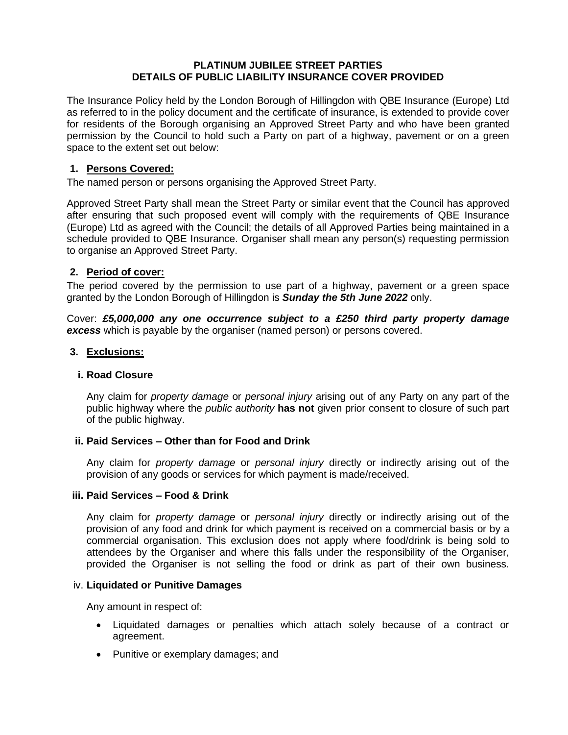### **PLATINUM JUBILEE STREET PARTIES DETAILS OF PUBLIC LIABILITY INSURANCE COVER PROVIDED**

The Insurance Policy held by the London Borough of Hillingdon with QBE Insurance (Europe) Ltd as referred to in the policy document and the certificate of insurance, is extended to provide cover for residents of the Borough organising an Approved Street Party and who have been granted permission by the Council to hold such a Party on part of a highway, pavement or on a green space to the extent set out below:

# **1. Persons Covered:**

The named person or persons organising the Approved Street Party.

Approved Street Party shall mean the Street Party or similar event that the Council has approved after ensuring that such proposed event will comply with the requirements of QBE Insurance (Europe) Ltd as agreed with the Council; the details of all Approved Parties being maintained in a schedule provided to QBE Insurance. Organiser shall mean any person(s) requesting permission to organise an Approved Street Party.

## **2. Period of cover:**

The period covered by the permission to use part of a highway, pavement or a green space granted by the London Borough of Hillingdon is *Sunday the 5th June 2022* only.

Cover: *£5,000,000 any one occurrence subject to a £250 third party property damage excess* which is payable by the organiser (named person) or persons covered.

### **3. Exclusions:**

#### **i. Road Closure**

Any claim for *property damage* or *personal injury* arising out of any Party on any part of the public highway where the *public authority* **has not** given prior consent to closure of such part of the public highway.

#### **ii. Paid Services – Other than for Food and Drink**

Any claim for *property damage* or *personal injury* directly or indirectly arising out of the provision of any goods or services for which payment is made/received.

#### **iii. Paid Services – Food & Drink**

Any claim for *property damage* or *personal injury* directly or indirectly arising out of the provision of any food and drink for which payment is received on a commercial basis or by a commercial organisation. This exclusion does not apply where food/drink is being sold to attendees by the Organiser and where this falls under the responsibility of the Organiser, provided the Organiser is not selling the food or drink as part of their own business.

#### iv. **Liquidated or Punitive Damages**

Any amount in respect of:

- Liquidated damages or penalties which attach solely because of a contract or agreement.
- Punitive or exemplary damages; and